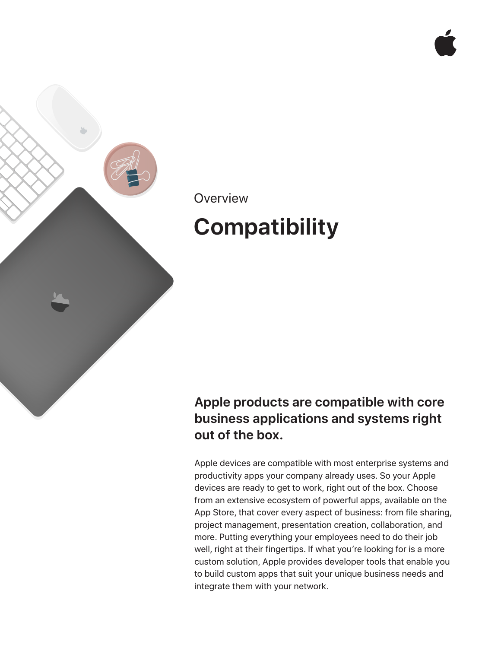

### **Overview**

# **Compatibility**

### **Apple products are compatible with core business applications and systems right out of the box.**

Apple devices are compatible with most enterprise systems and productivity apps your company already uses. So your Apple devices are ready to get to work, right out of the box. Choose from an extensive ecosystem of powerful apps, available on the App Store, that cover every aspect of business: from file sharing, project management, presentation creation, collaboration, and more. Putting everything your employees need to do their job well, right at their fingertips. If what you're looking for is a more custom solution, Apple provides developer tools that enable you to build custom apps that suit your unique business needs and integrate them with your network.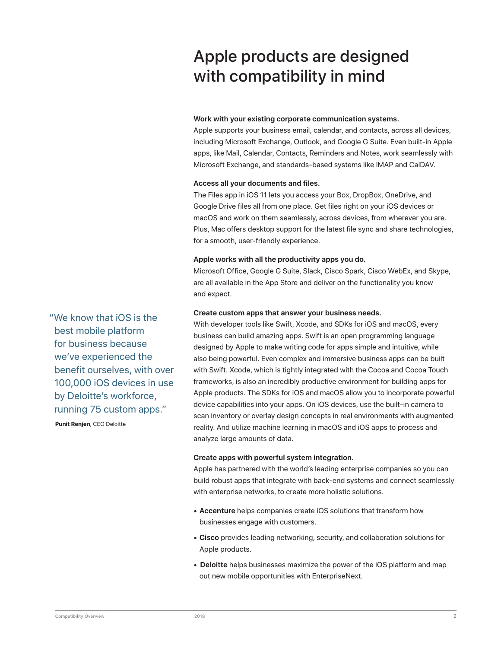## Apple products are designed with compatibility in mind

#### **Work with your existing corporate communication systems.**

Apple supports your business email, calendar, and contacts, across all devices, including Microsoft Exchange, Outlook, and Google G Suite. Even built-in Apple apps, like Mail, Calendar, Contacts, Reminders and Notes, work seamlessly with Microsoft Exchange, and standards-based systems like IMAP and CalDAV.

#### **Access all your documents and files.**

The Files app in iOS 11 lets you access your Box, DropBox, OneDrive, and Google Drive files all from one place. Get files right on your iOS devices or macOS and work on them seamlessly, across devices, from wherever you are. Plus, Mac offers desktop support for the latest file sync and share technologies, for a smooth, user-friendly experience.

#### **Apple works with all the productivity apps you do.**

Microsoft Office, Google G Suite, Slack, Cisco Spark, Cisco WebEx, and Skype, are all available in the App Store and deliver on the functionality you know and expect.

#### **Create custom apps that answer your business needs.**

With developer tools like Swift, Xcode, and SDKs for iOS and macOS, every business can build amazing apps. Swift is an open programming language designed by Apple to make writing code for apps simple and intuitive, while also being powerful. Even complex and immersive business apps can be built with Swift. Xcode, which is tightly integrated with the Cocoa and Cocoa Touch frameworks, is also an incredibly productive environment for building apps for Apple products. The SDKs for iOS and macOS allow you to incorporate powerful device capabilities into your apps. On iOS devices, use the built-in camera to scan inventory or overlay design concepts in real environments with augmented reality. And utilize machine learning in macOS and iOS apps to process and analyze large amounts of data.

#### **Create apps with powerful system integration.**

Apple has partnered with the world's leading enterprise companies so you can build robust apps that integrate with back-end systems and connect seamlessly with enterprise networks, to create more holistic solutions.

- **Accenture** helps companies create iOS solutions that transform how businesses engage with customers.
- **Cisco** provides leading networking, security, and collaboration solutions for Apple products.
- **Deloitte** helps businesses maximize the power of the iOS platform and map out new mobile opportunities with EnterpriseNext.

"We know that iOS is the best mobile platform for business because we've experienced the benefit ourselves, with over 100,000 iOS devices in use by Deloitte's workforce, running 75 custom apps."

**Punit Renjen**, CEO Deloitte